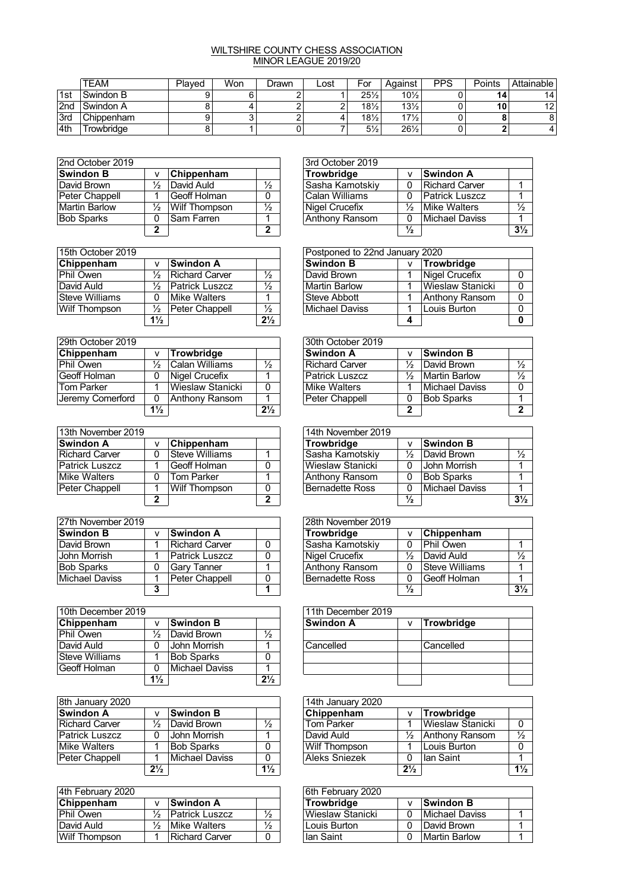## WILTSHIRE COUNTY CHESS ASSOCIATION MINOR LEAGUE 2019/20

|     | <b>TEAM</b> | Plaved | Won | Drawn | _ost | For               | Aɑainst         | <b>PPS</b> | Points | Attainable I    |
|-----|-------------|--------|-----|-------|------|-------------------|-----------------|------------|--------|-----------------|
| 1st | Swindon B   |        |     |       |      | $25\frac{1}{2}$   | $10\frac{1}{2}$ |            | 14     | 14 <sub>1</sub> |
| 2nd | Swindon A   |        |     |       |      | $18\frac{1}{2}$   | $13\frac{1}{2}$ |            | 10     | 12              |
| 3rd | Chippenham  |        |     |       |      | $18\frac{1}{2}$ . | $17\frac{1}{2}$ |            |        |                 |
| 4th | rowbridae   | Ο      |     |       |      | $5\frac{1}{2}$    | $26\frac{1}{2}$ | 0          |        |                 |

| 2nd October 2019     |   |                   | 3rd October 2019 |                 |               |                     |
|----------------------|---|-------------------|------------------|-----------------|---------------|---------------------|
| <b>Swindon B</b>     | v | <b>Chippenham</b> |                  | Trowbridge      |               | ∣Swindon A          |
| David Brown          | ⅓ | David Auld        | $\frac{1}{2}$    | Sasha Kamotskiy |               | ∣Richard Car        |
| Peter Chappell       |   | ⊺Geoff Holman     | 0                | Calan Williams  |               | <b>Patrick Lus:</b> |
| <b>Martin Barlow</b> | ⅓ | Wilf Thompson     | $\frac{1}{2}$    | Nigel Crucefix  | $\frac{1}{2}$ | Mike Walter         |
| <b>Bob Sparks</b>    | 0 | ISam Farren       |                  | Anthony Ransom  | 0             | ∣Michael Da∖        |
|                      | ◠ |                   | ົ                |                 | ⅓             |                     |

| 2nd October 2019  |               |                      |               | 3rd October 2019 |               |                       |                |
|-------------------|---------------|----------------------|---------------|------------------|---------------|-----------------------|----------------|
| Swindon B         | v             | Chippenham           |               | Trowbridge       | $\mathsf{v}$  | Swindon A             |                |
| David Brown       | $\frac{1}{2}$ | David Auld           | $\frac{1}{2}$ | ∣Sasha Kamotskiv | 0             | Richard Carver        |                |
| Peter Chappell    |               | Geoff Holman         | 0             | lCalan Williams  | 0             | <b>Patrick Luszcz</b> |                |
| Martin Barlow     | $\frac{1}{2}$ | <b>Wilf Thompson</b> | $\frac{1}{2}$ | Nigel Crucefix   | ⅓             | Mike Walters          | $\frac{1}{2}$  |
| <b>Bob Sparks</b> | 0             | Sam Farren           |               | Anthony Ransom   | 0             | Michael Daviss        |                |
|                   | ◠             |                      | ∍             |                  | $\frac{1}{2}$ |                       | $3\frac{1}{2}$ |

|                |                  |                                                                           | Postponed to 22nd January 2020 |  |                                                                                    |              |
|----------------|------------------|---------------------------------------------------------------------------|--------------------------------|--|------------------------------------------------------------------------------------|--------------|
|                | <b>Swindon A</b> |                                                                           |                                |  |                                                                                    | Trowbridge   |
| ⅓              |                  | ⅓                                                                         |                                |  |                                                                                    | Nigel Crucef |
| ⅓              |                  | $\frac{1}{2}$                                                             |                                |  |                                                                                    | Wieslaw Sta  |
| 0              |                  |                                                                           |                                |  |                                                                                    | ∣Anthony Rar |
| ⅓              |                  | ⅓                                                                         |                                |  |                                                                                    | Louis Burton |
| $1\frac{1}{2}$ |                  | $2\frac{1}{2}$                                                            |                                |  |                                                                                    |              |
|                |                  | Richard Carver<br><b>Patrick Luszcz</b><br>Mike Walters<br>Peter Chappell |                                |  | <b>Swindon B</b><br>David Brown<br>Martin Barlow<br>Steve Abbott<br>Michael Daviss |              |

| 29th October 2019 |                |                   | 30th October 2019 |                       |               |              |
|-------------------|----------------|-------------------|-------------------|-----------------------|---------------|--------------|
| Chippenham        | v              | <b>Trowbridge</b> |                   | <b>Swindon A</b>      |               | Swindon B    |
| Phil Owen         | ⅓              | Calan Williams    | $\frac{1}{2}$     | <b>Richard Carver</b> | $\frac{1}{2}$ | David Browr  |
| Geoff Holman      | 0              | Nigel Crucefix    |                   | Patrick Luszcz        | $\frac{1}{2}$ | Martin Barlo |
| Tom Parker        |                | Wieslaw Stanicki  | $\Omega$          | Mike Walters          |               | ∣Michael Da∖ |
| Jeremy Comerford  | 0              | Anthony Ransom    |                   | Peter Chappell        | 0             | Bob Sparks   |
|                   | $1\frac{1}{2}$ |                   | $2\frac{1}{2}$    |                       | າ             |              |

| 13th November 2019    |   |                |   | 14th November 2019 |               |                   |
|-----------------------|---|----------------|---|--------------------|---------------|-------------------|
| <b>Swindon A</b>      | v | Chippenham     |   | Trowbridge         |               | Swindon B         |
| Richard Carver        | 0 | Steve Williams |   | Sasha Kamotskiy    | $\frac{1}{2}$ | David Browr       |
| <b>Patrick Luszcz</b> |   | Geoff Holman   | 0 | Wieslaw Stanicki   |               | John Morris       |
| Mike Walters          | 0 | Tom Parker     |   | Anthony Ransom     |               | <b>Bob Sparks</b> |
| Peter Chappell        |   | Wilf Thompson  | 0 | Bernadette Ross    |               | Michael Day       |
|                       |   |                | ົ |                    | ⅓             |                   |

| 27th November 2019 |   |                       | 28th November 2019 |                        |               |                   |
|--------------------|---|-----------------------|--------------------|------------------------|---------------|-------------------|
| <b>Swindon B</b>   |   | <b>Swindon A</b>      |                    | <b>Trowbridge</b>      |               | <b>Chippenham</b> |
| David Brown        |   | Richard Carver        | 0                  | Sasha Kamotskiy        | 0             | Phil Owen         |
| John Morrish       |   | <b>Patrick Luszcz</b> |                    | Nigel Crucefix         | ⅓             | David Auld        |
| <b>Bob Sparks</b>  |   | <b>Gary Tanner</b>    |                    | Anthony Ransom         | 0             | Steve William:    |
| Michael Daviss     |   | Peter Chappell        | 0                  | <b>Bernadette Ross</b> | 0             | Geoff Holman      |
|                    | , |                       |                    |                        | $\frac{1}{2}$ |                   |

| 10th December 2019 |                |                   |                | 11th December 2019 |            |
|--------------------|----------------|-------------------|----------------|--------------------|------------|
| Chippenham         | ۷              | <b>Swindon B</b>  |                | <b>Swindon A</b>   | Trowbridge |
| Phil Owen          | ⅓              | David Brown       | $\frac{1}{2}$  |                    |            |
| David Auld         | 0              | John Morrish      |                | Cancelled          | Cancelled  |
| Steve Williams     |                | <b>Bob Sparks</b> |                |                    |            |
| Geoff Holman       | 0              | Michael Daviss    |                |                    |            |
|                    | $1\frac{1}{2}$ |                   | $2\frac{1}{2}$ |                    |            |

| 8th January 2020 |                |                  | 14th January 2020 |                      |                |              |  |
|------------------|----------------|------------------|-------------------|----------------------|----------------|--------------|--|
| <b>Swindon A</b> | v              | <b>Swindon B</b> |                   | Chippenham           |                | Trowbridge   |  |
| Richard Carver   | ⅓              | David Brown      | $\frac{1}{2}$     | <b>Tom Parker</b>    |                | ∣Wieslaw Sta |  |
| Patrick Luszcz   | 0              | John Morrish     |                   | David Auld           | $\frac{1}{2}$  | Anthony Rar  |  |
| Mike Walters     |                | Bob Sparks       | 0                 | Wilf Thompson        |                | Louis Burton |  |
| Peter Chappell   |                | Michael Daviss   | 0                 | <b>Aleks Sniezek</b> |                | lan Saint    |  |
|                  | $2\frac{1}{2}$ |                  | $1\frac{1}{2}$    |                      | $2\frac{1}{2}$ |              |  |

| 4th February 2020 |              |                  |               | 6th February 2020 |                |  |
|-------------------|--------------|------------------|---------------|-------------------|----------------|--|
| Chippenham        | $\mathbf{v}$ | <b>Swindon A</b> |               | <b>Trowbridge</b> | Swindon B      |  |
| Phil Owen         | ⅓            | Patrick Luszcz   | $\frac{1}{2}$ | Wieslaw Stanicki  | Michael Daviss |  |
| David Auld        | ⅓            | Mike Walters     | $\frac{1}{2}$ | Louis Burton      | David Brown    |  |
| Wilf Thompson     |              | Richard Carver   | 0             | lan Saint         | Martin Barlow  |  |

| 15th October 2019 |                |                       |                |                  | Postponed to 22nd January 2020 |                  |  |  |  |  |
|-------------------|----------------|-----------------------|----------------|------------------|--------------------------------|------------------|--|--|--|--|
| Chippenham        |                | <b>Swindon A</b>      |                | <b>Swindon B</b> | v                              | Trowbridge       |  |  |  |  |
| Phil Owen         | ⅛              | Richard Carver        | $\frac{1}{2}$  | David Brown      |                                | Nigel Crucefix   |  |  |  |  |
| David Auld        | ⅓              | <b>Patrick Luszcz</b> | $\frac{1}{2}$  | Martin Barlow    |                                | Wieslaw Stanicki |  |  |  |  |
| Steve Williams    | 0              | Mike Walters          |                | Steve Abbott     |                                | Anthony Ransom   |  |  |  |  |
| Wilf Thompson     | ⅓              | Peter Chappell        | $\frac{1}{2}$  | Michael Daviss   |                                | Louis Burton     |  |  |  |  |
|                   | $1\frac{1}{2}$ |                       | $2\frac{1}{2}$ |                  |                                |                  |  |  |  |  |

| 29th October 2019 |                |                   |                | 30th October 2019 |               |                   |               |  |  |  |
|-------------------|----------------|-------------------|----------------|-------------------|---------------|-------------------|---------------|--|--|--|
| Chippenham        |                | Trowbridge        |                | <b>Swindon A</b>  |               | <b>Swindon B</b>  |               |  |  |  |
| Phil Owen         | ⅓              | lCalan Williams   | $\frac{1}{2}$  | Richard Carver    | $\frac{1}{2}$ | David Brown       | $\frac{1}{2}$ |  |  |  |
| Geoff Holman      | 0              | Nigel Crucefix    |                | Patrick Luszcz    | $\frac{1}{2}$ | Martin Barlow     | $\frac{1}{2}$ |  |  |  |
| Tom Parker        |                | lWieslaw Stanicki | 0              | Mike Walters      |               | Michael Daviss    |               |  |  |  |
| Jeremy Comerford  | 0              | Anthony Ransom    |                | Peter Chappell    | 0             | <b>Bob Sparks</b> |               |  |  |  |
|                   | $1\frac{1}{2}$ |                   | $2\frac{1}{2}$ |                   | ◠             |                   |               |  |  |  |

| 13th November 2019 |   |                      |   | 14th November 2019 |                       |               |                     |                |
|--------------------|---|----------------------|---|--------------------|-----------------------|---------------|---------------------|----------------|
| Swindon A          | v | Chippenham           |   |                    | <b>Trowbridge</b>     |               | Swindon B           |                |
| Richard Carver     | 0 | Steve Williams       |   |                    | Sasha Kamotskiy       | ⅓             | David Brown         |                |
| Patrick Luszcz     |   | Geoff Holman         |   |                    | Wieslaw Stanicki      |               | <b>John Morrish</b> |                |
| Mike Walters       | 0 | Tom Parker           |   |                    | <b>Anthony Ransom</b> | 0             | <b>Bob Sparks</b>   |                |
| Peter Chappell     |   | <b>Wilf Thompson</b> |   |                    | Bernadette Ross       | 0             | Michael Daviss      |                |
|                    | ∍ |                      | ົ |                    |                       | $\frac{1}{2}$ |                     | $3\frac{1}{2}$ |

| 27th November 2019 |   |                       |          | 28th November 2019 |               |                   |                |  |
|--------------------|---|-----------------------|----------|--------------------|---------------|-------------------|----------------|--|
| Swindon B          | v | <b>Swindon A</b>      |          | <b>Trowbridge</b>  | v             | <b>Chippenham</b> |                |  |
| David Brown        |   | <b>Richard Carver</b> |          | Sasha Kamotskiy    | 0             | Phil Owen         |                |  |
| John Morrish       |   | <b>Patrick Luszcz</b> | $\Omega$ | Nigel Crucefix     | ⅓             | David Auld        | 1/2            |  |
| <b>Bob Sparks</b>  |   | <b>Gary Tanner</b>    |          | Anthony Ransom     | 0             | Steve Williams    |                |  |
| Michael Daviss     |   | Peter Chappell        | $\Omega$ | Bernadette Ross    | 0             | Geoff Holman      |                |  |
|                    | ≏ |                       |          |                    | $\frac{1}{2}$ |                   | $3\frac{1}{2}$ |  |

| 111th December 2019 |   |            |  |
|---------------------|---|------------|--|
| <b>Swindon A</b>    | ٧ | Trowbridge |  |
|                     |   |            |  |
| <b>Cancelled</b>    |   | Cancelled  |  |
|                     |   |            |  |
|                     |   |            |  |
|                     |   |            |  |

| 8th January 2020      |                |                  |                | 14th January 2020    |                |                  |                |
|-----------------------|----------------|------------------|----------------|----------------------|----------------|------------------|----------------|
| Swindon A             | v              | <b>Swindon B</b> |                | Chippenham           |                | Trowbridge       |                |
| <b>Richard Carver</b> | $\frac{1}{2}$  | David Brown      | $\frac{1}{2}$  | <b>Tom Parker</b>    |                | Wieslaw Stanicki |                |
| Patrick Luszcz        | 0              | John Morrish     |                | David Auld           | $\frac{1}{2}$  | Anthony Ransom   |                |
| Mike Walters          |                | Bob Sparks       |                | <b>Wilf Thompson</b> |                | Louis Burton     |                |
| Peter Chappell        |                | Michael Daviss   | $\Omega$       | Aleks Sniezek        | 0              | ∣lan Saint       |                |
|                       | $2\frac{1}{2}$ |                  | $1\frac{1}{2}$ |                      | $2\frac{1}{2}$ |                  | $1\frac{1}{2}$ |

| 6th February 2020 |   |                |  |
|-------------------|---|----------------|--|
| <b>Trowbridge</b> |   | Swindon B      |  |
| Wieslaw Stanicki  | O | Michael Daviss |  |
| Louis Burton      | O | David Brown    |  |
| lan Saint         | 0 | Martin Barlow  |  |